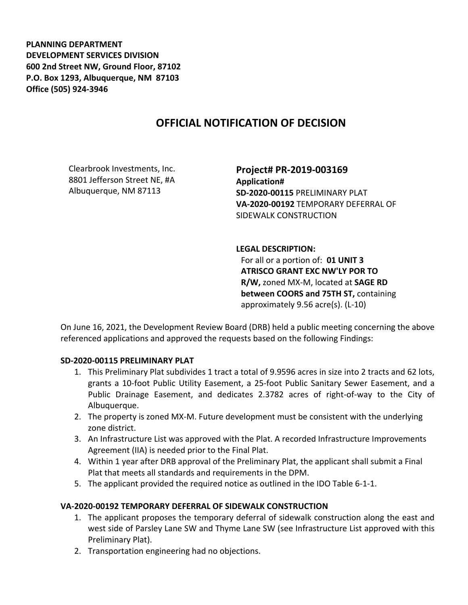**PLANNING DEPARTMENT DEVELOPMENT SERVICES DIVISION 600 2nd Street NW, Ground Floor, 87102 P.O. Box 1293, Albuquerque, NM 87103 Office (505) 924-3946** 

## **OFFICIAL NOTIFICATION OF DECISION**

Clearbrook Investments, Inc. 8801 Jefferson Street NE, #A Albuquerque, NM 87113

**Project# PR-2019-003169 Application# SD-2020-00115** PRELIMINARY PLAT **VA-2020-00192** TEMPORARY DEFERRAL OF SIDEWALK CONSTRUCTION

**LEGAL DESCRIPTION:** For all or a portion of: **01 UNIT 3 ATRISCO GRANT EXC NW'LY POR TO R/W,** zoned MX-M, located at **SAGE RD between COORS and 75TH ST,** containing approximately 9.56 acre(s). (L-10)

On June 16, 2021, the Development Review Board (DRB) held a public meeting concerning the above referenced applications and approved the requests based on the following Findings:

## **SD-2020-00115 PRELIMINARY PLAT**

- 1. This Preliminary Plat subdivides 1 tract a total of 9.9596 acres in size into 2 tracts and 62 lots, grants a 10-foot Public Utility Easement, a 25-foot Public Sanitary Sewer Easement, and a Public Drainage Easement, and dedicates 2.3782 acres of right-of-way to the City of Albuquerque.
- 2. The property is zoned MX-M. Future development must be consistent with the underlying zone district.
- 3. An Infrastructure List was approved with the Plat. A recorded Infrastructure Improvements Agreement (IIA) is needed prior to the Final Plat.
- 4. Within 1 year after DRB approval of the Preliminary Plat, the applicant shall submit a Final Plat that meets all standards and requirements in the DPM.
- 5. The applicant provided the required notice as outlined in the IDO Table 6-1-1.

## **VA-2020-00192 TEMPORARY DEFERRAL OF SIDEWALK CONSTRUCTION**

- 1. The applicant proposes the temporary deferral of sidewalk construction along the east and west side of Parsley Lane SW and Thyme Lane SW (see Infrastructure List approved with this Preliminary Plat).
- 2. Transportation engineering had no objections.